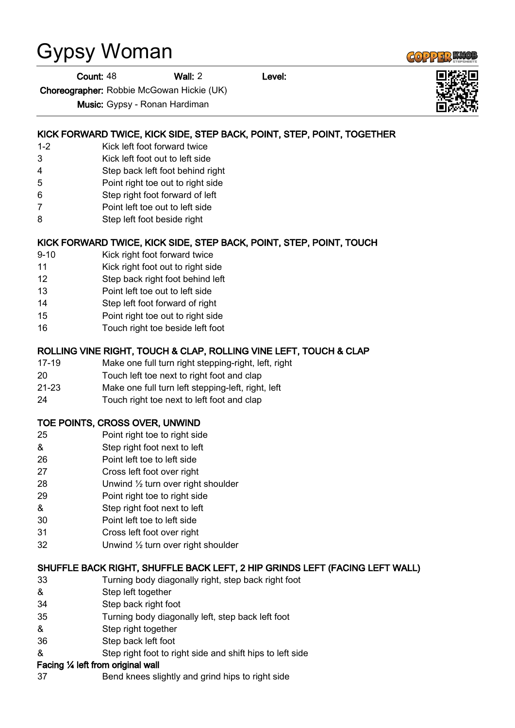# Gypsy Woman

Choreographer: Robbie McGowan Hickie (UK)

Music: Gypsy - Ronan Hardiman

## KICK FORWARD TWICE, KICK SIDE, STEP BACK, POINT, STEP, POINT, TOGETHER

- 1-2 Kick left foot forward twice
- 3 Kick left foot out to left side
- 4 Step back left foot behind right
- 5 Point right toe out to right side
- 6 Step right foot forward of left
- 7 Point left toe out to left side
- 8 Step left foot beside right

## KICK FORWARD TWICE, KICK SIDE, STEP BACK, POINT, STEP, POINT, TOUCH

- 9-10 Kick right foot forward twice
- 11 Kick right foot out to right side
- 12 Step back right foot behind left
- 13 Point left toe out to left side
- 14 Step left foot forward of right
- 15 Point right toe out to right side
- 16 Touch right toe beside left foot

#### ROLLING VINE RIGHT, TOUCH & CLAP, ROLLING VINE LEFT, TOUCH & CLAP

- 17-19 Make one full turn right stepping-right, left, right
- 20 Touch left toe next to right foot and clap
- 21-23 Make one full turn left stepping-left, right, left
- 24 Touch right toe next to left foot and clap

#### TOE POINTS, CROSS OVER, UNWIND

- 25 Point right toe to right side
- & Step right foot next to left
- 26 Point left toe to left side
- 27 Cross left foot over right
- 28 Unwind ½ turn over right shoulder
- 29 Point right toe to right side
- & Step right foot next to left
- 30 Point left toe to left side
- 31 Cross left foot over right
- 32 Unwind ½ turn over right shoulder

#### SHUFFLE BACK RIGHT, SHUFFLE BACK LEFT, 2 HIP GRINDS LEFT (FACING LEFT WALL)

- 33 Turning body diagonally right, step back right foot
- & Step left together
- 34 Step back right foot
- 35 Turning body diagonally left, step back left foot
- & Step right together
- 36 Step back left foot
- & Step right foot to right side and shift hips to left side

#### Facing ¼ left from original wall

37 Bend knees slightly and grind hips to right side





Count: 48 Wall: 2 Level: